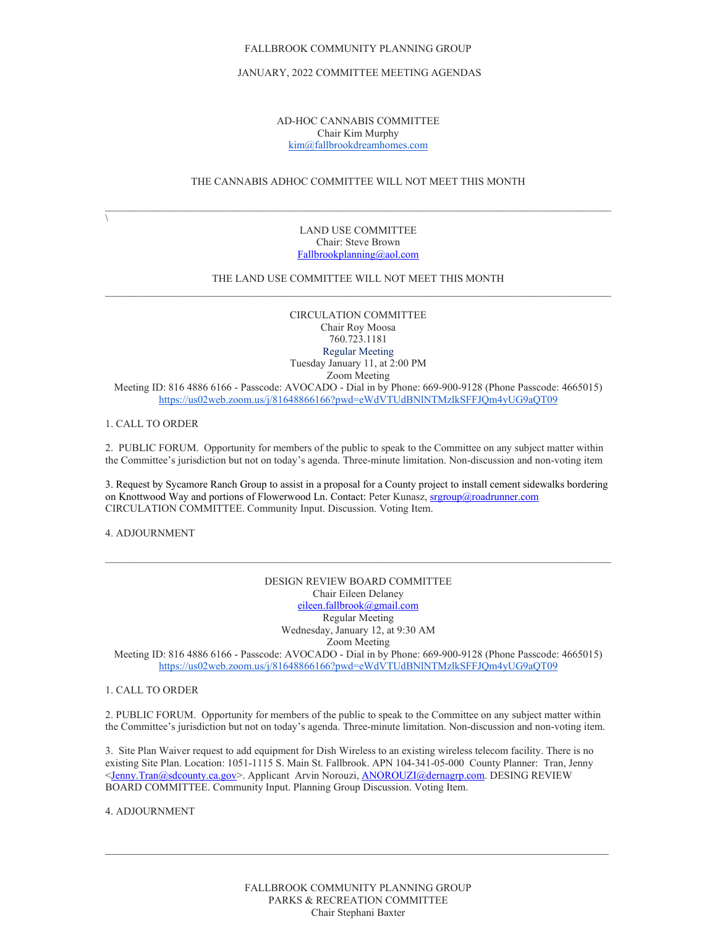## JANUARY, 2022 COMMITTEE MEETING AGENDAS

## AD-HOC CANNABIS COMMITTEE Chair Kim Murphy [kim@fallbrookdreamhomes.com](mailto:kim@fallbrookdreamhomes.com)

# THE CANNABIS ADHOC COMMITTEE WILL NOT MEET THIS MONTH

 $\sqrt{2}$ 

LAND USE COMMITTEE Chair: Steve Brown [Fallbrookplanning@aol.com](mailto:Fallbrookplanning@aol.com)

# THE LAND USE COMMITTEE WILL NOT MEET THIS MONTH  $\mathcal{L}_\mathcal{L} = \{ \mathcal{L}_\mathcal{L} = \{ \mathcal{L}_\mathcal{L} = \{ \mathcal{L}_\mathcal{L} = \{ \mathcal{L}_\mathcal{L} = \{ \mathcal{L}_\mathcal{L} = \{ \mathcal{L}_\mathcal{L} = \{ \mathcal{L}_\mathcal{L} = \{ \mathcal{L}_\mathcal{L} = \{ \mathcal{L}_\mathcal{L} = \{ \mathcal{L}_\mathcal{L} = \{ \mathcal{L}_\mathcal{L} = \{ \mathcal{L}_\mathcal{L} = \{ \mathcal{L}_\mathcal{L} = \{ \mathcal{L}_\mathcal{$

CIRCULATION COMMITTEE Chair Roy Moosa 760.723.1181 Regular Meeting Tuesday January 11, at 2:00 PM Zoom Meeting Meeting ID: 816 4886 6166 - Passcode: AVOCADO - Dial in by Phone: 669-900-9128 (Phone Passcode: 4665015) <https://us02web.zoom.us/j/81648866166?pwd=eWdVTUdBNlNTMzlkSFFJQm4yUG9aQT09>

1. CALL TO ORDER

2. PUBLIC FORUM. Opportunity for members of the public to speak to the Committee on any subject matter within the Committee's jurisdiction but not on today's agenda. Three-minute limitation. Non-discussion and non-voting item

3. Request by Sycamore Ranch Group to assist in a proposal for a County project to install cement sidewalks bordering on Knottwood Way and portions of Flowerwood Ln. Contact: Peter Kunasz[, srgroup@roadrunner.com](mailto:srgroup@roadrunner.com) CIRCULATION COMMITTEE. Community Input. Discussion. Voting Item.

4. ADJOURNMENT

DESIGN REVIEW BOARD COMMITTEE Chair Eileen Delaney [eileen.fallbrook@gmail.com](mailto:eileen.fallbrook@gmail.com) Regular Meeting Wednesday, January 12, at 9:30 AM Zoom Meeting Meeting ID: 816 4886 6166 - Passcode: AVOCADO - Dial in by Phone: 669-900-9128 (Phone Passcode: 4665015) <https://us02web.zoom.us/j/81648866166?pwd=eWdVTUdBNlNTMzlkSFFJQm4yUG9aQT09>

1. CALL TO ORDER

2. PUBLIC FORUM. Opportunity for members of the public to speak to the Committee on any subject matter within the Committee's jurisdiction but not on today's agenda. Three-minute limitation. Non-discussion and non-voting item.

3. Site Plan Waiver request to add equipment for Dish Wireless to an existing wireless telecom facility. There is no existing Site Plan. Location: 1051-1115 S. Main St. Fallbrook. APN 104-341-05-000 County Planner: Tran, Jenny [<Jenny.Tran@sdcounty.ca.gov>](mailto:Jenny.Tran@sdcounty.ca.gov). Applicant Arvin Norouzi, [ANOROUZI@dernagrp.com.](mailto:ANOROUZI@dernagrp.com) DESING REVIEW BOARD COMMITTEE. Community Input. Planning Group Discussion. Voting Item.

4. ADJOURNMENT

 $\mathcal{L}_\mathcal{L} = \{ \mathcal{L}_\mathcal{L} = \{ \mathcal{L}_\mathcal{L} = \{ \mathcal{L}_\mathcal{L} = \{ \mathcal{L}_\mathcal{L} = \{ \mathcal{L}_\mathcal{L} = \{ \mathcal{L}_\mathcal{L} = \{ \mathcal{L}_\mathcal{L} = \{ \mathcal{L}_\mathcal{L} = \{ \mathcal{L}_\mathcal{L} = \{ \mathcal{L}_\mathcal{L} = \{ \mathcal{L}_\mathcal{L} = \{ \mathcal{L}_\mathcal{L} = \{ \mathcal{L}_\mathcal{L} = \{ \mathcal{L}_\mathcal{$